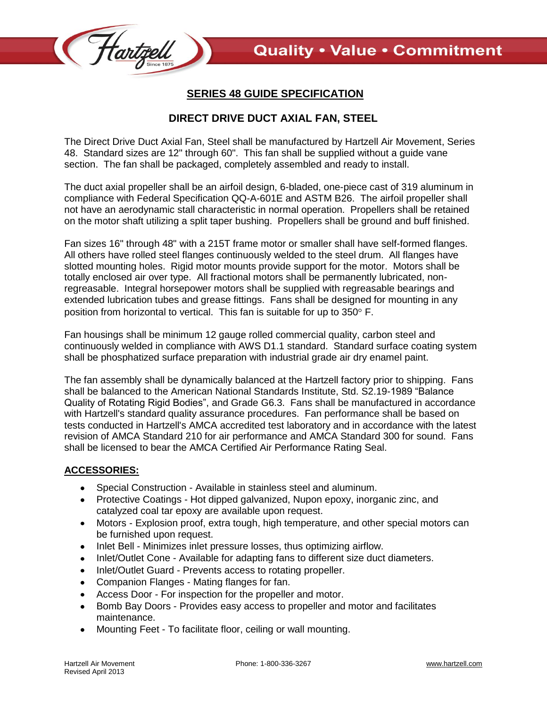

## **SERIES 48 GUIDE SPECIFICATION**

## **DIRECT DRIVE DUCT AXIAL FAN, STEEL**

The Direct Drive Duct Axial Fan, Steel shall be manufactured by Hartzell Air Movement, Series 48. Standard sizes are 12" through 60". This fan shall be supplied without a guide vane section. The fan shall be packaged, completely assembled and ready to install.

The duct axial propeller shall be an airfoil design, 6-bladed, one-piece cast of 319 aluminum in compliance with Federal Specification QQ-A-601E and ASTM B26. The airfoil propeller shall not have an aerodynamic stall characteristic in normal operation. Propellers shall be retained on the motor shaft utilizing a split taper bushing. Propellers shall be ground and buff finished.

Fan sizes 16" through 48" with a 215T frame motor or smaller shall have self-formed flanges. All others have rolled steel flanges continuously welded to the steel drum. All flanges have slotted mounting holes. Rigid motor mounts provide support for the motor. Motors shall be totally enclosed air over type. All fractional motors shall be permanently lubricated, nonregreasable. Integral horsepower motors shall be supplied with regreasable bearings and extended lubrication tubes and grease fittings. Fans shall be designed for mounting in any position from horizontal to vertical. This fan is suitable for up to  $350^\circ$  F.

Fan housings shall be minimum 12 gauge rolled commercial quality, carbon steel and continuously welded in compliance with AWS D1.1 standard. Standard surface coating system shall be phosphatized surface preparation with industrial grade air dry enamel paint.

The fan assembly shall be dynamically balanced at the Hartzell factory prior to shipping. Fans shall be balanced to the American National Standards Institute, Std. S2.19-1989 "Balance Quality of Rotating Rigid Bodies", and Grade G6.3. Fans shall be manufactured in accordance with Hartzell's standard quality assurance procedures. Fan performance shall be based on tests conducted in Hartzell's AMCA accredited test laboratory and in accordance with the latest revision of AMCA Standard 210 for air performance and AMCA Standard 300 for sound. Fans shall be licensed to bear the AMCA Certified Air Performance Rating Seal.

## **ACCESSORIES:**

- Special Construction Available in stainless steel and aluminum.
- Protective Coatings Hot dipped galvanized, Nupon epoxy, inorganic zinc, and catalyzed coal tar epoxy are available upon request.
- Motors Explosion proof, extra tough, high temperature, and other special motors can be furnished upon request.
- Inlet Bell Minimizes inlet pressure losses, thus optimizing airflow.
- Inlet/Outlet Cone Available for adapting fans to different size duct diameters.  $\bullet$
- Inlet/Outlet Guard Prevents access to rotating propeller.  $\bullet$
- Companion Flanges Mating flanges for fan.
- Access Door For inspection for the propeller and motor.
- Bomb Bay Doors Provides easy access to propeller and motor and facilitates maintenance.
- Mounting Feet To facilitate floor, ceiling or wall mounting.